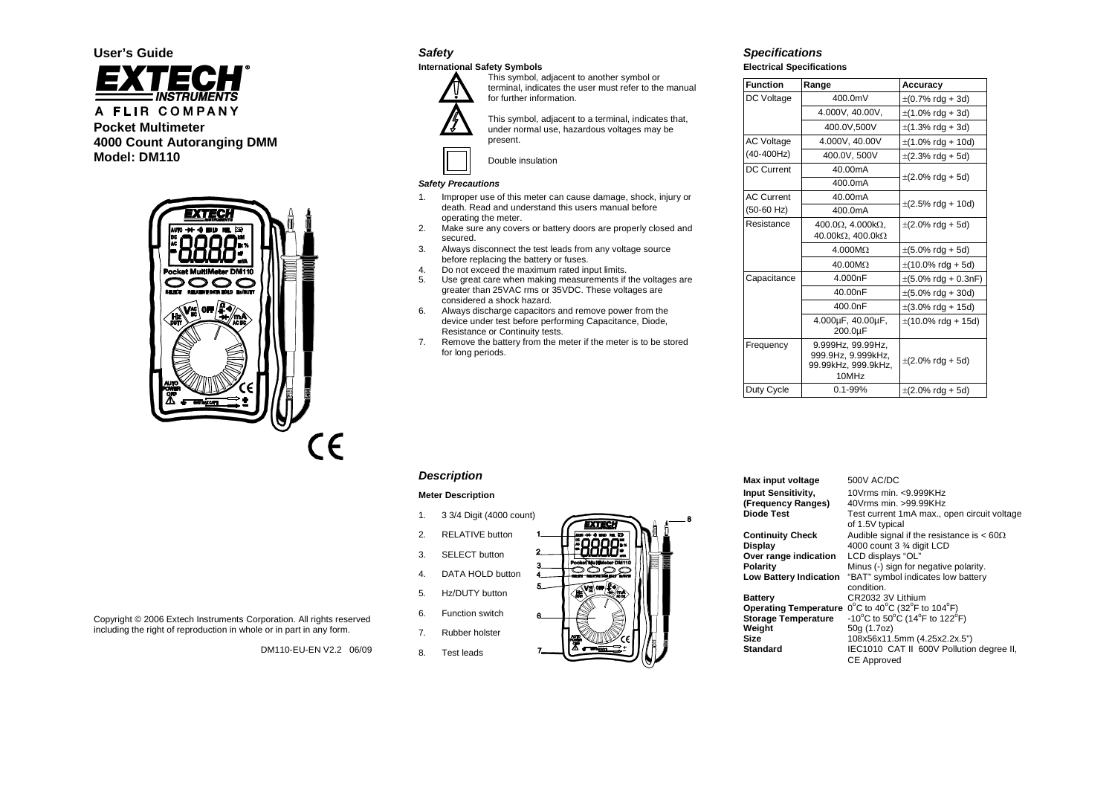A FLIR COMPANY **Pocket Multimeter 4000 Count Autoranging DMM Model: DM110**

**User's Guide**



Copyright © 2006 Extech Instruments Corporation. All rights reserved including the right of reproduction in whole or in part in any form.

DM110-EU-EN V2.2 06/09

# *Safety*

# **International Safety Symbols**



This symbol, adjacent to another symbol or terminal, indicates the user must refer to the manual for further information.

This symbol, adjacent to a terminal, indicates that, under normal use, hazardous voltages may be present.



Double insulation

#### *Safety Precautions*

- 1. Improper use of this meter can cause damage, shock, injury or death. Read and understand this users manual before operating the meter.
- 2. Make sure any covers or battery doors are properly closed and secured.
- 3. Always disconnect the test leads from any voltage source before replacing the battery or fuses.
- 8. Do not exceed the maximum rated input limits.<br>
5. Use great care when making measurements if
- Use great care when making measurements if the voltages are greater than 25VAC rms or 35VDC. These voltages are considered a shock hazard.
- 6. Always discharge capacitors and remove power from the device under test before performing Capacitance, Diode, Resistance or Continuity tests.
- 7. Remove the battery from the meter if the meter is to be stored for long periods.

# *Specifications*

**Electrical Specifications**

| <b>Function</b>   | Range                                                                   | Accuracy                                 |
|-------------------|-------------------------------------------------------------------------|------------------------------------------|
| DC Voltage        | 400.0mV                                                                 | $\pm (0.7\% \text{ rdg} + 3d)$           |
|                   | 4.000V, 40.00V,                                                         | $\pm$ (1.0% rdg + 3d)                    |
|                   | 400.0V,500V                                                             | $\pm$ (1.3% rdg + 3d)                    |
| <b>AC Voltage</b> | 4.000V, 40.00V                                                          | $\pm$ (1.0% rdg + 10d)                   |
| (40-400Hz)        | 400.0V, 500V                                                            | $\pm$ (2.3% rdg + 5d)                    |
| DC Current        | 40.00mA                                                                 | $\pm (2.0\% \text{ rdg} + 5d)$           |
|                   | 400.0mA                                                                 |                                          |
| <b>AC Current</b> | 40.00mA                                                                 | $\pm$ (2.5% rdg + 10d)                   |
| $(50-60$ Hz)      | 400.0mA                                                                 |                                          |
| Resistance        | 400.0 $\Omega$ , 4.000 $k\Omega$ ,<br>40.00kΩ, 400.0kΩ                  | $\pm$ (2.0% rdg + 5d)                    |
|                   | $4.000M\Omega$                                                          | $\pm (5.0\% \text{ rdg} + 5d)$           |
|                   | $40.00 \text{M}\Omega$                                                  | $\pm$ (10.0% rdg + 5d)                   |
| Capacitance       | 4.000nF                                                                 | $\pm (5.0\% \text{ rdg} + 0.3\text{nF})$ |
|                   | 40.00nF                                                                 | $\pm (5.0\% \text{ rdg} + 30\text{d})$   |
|                   | 400.0nF                                                                 | $\pm(3.0\% \text{ rdg} + 15d)$           |
|                   | 4.000µF, 40.00µF,<br>200.0µF                                            | $\pm$ (10.0% rdg + 15d)                  |
| Frequency         | 9.999Hz, 99.99Hz,<br>999.9Hz, 9.999kHz,<br>99.99kHz, 999.9kHz,<br>10MHz | $\pm (2.0\% \text{ rdg} + 5d)$           |
| Duty Cycle        | $0.1 - 99%$                                                             | $\pm (2.0\% \text{ rdg} + 5d)$           |

# *Description*

#### **Meter Description**

- 1. 3 3/4 Digit (4000 count)
- 2. RELATIVE button
- 3. SELECT button
- 4. DATA HOLD button
- 
- 5. Hz/DUTY button
- 6. Function switch
- 7. Rubber holster
- 8. Test leads



| Max input voltage                                      | 500V AC/DC                                                                                                         |
|--------------------------------------------------------|--------------------------------------------------------------------------------------------------------------------|
| Input Sensitivity,<br>(Frequency Ranges)<br>Diode Test | 10Vrms min. < 9.999KHz<br>40Vrms min. > 99.99KHz<br>Test current 1mA max., open circuit voltage<br>of 1.5V typical |
| <b>Continuity Check</b>                                | Audible signal if the resistance is $< 60\Omega$                                                                   |
| Display                                                | 4000 count 3 3/4 digit LCD                                                                                         |
| Over range indication                                  | LCD displays "OL"                                                                                                  |
| Polarity                                               | Minus (-) sign for negative polarity.                                                                              |
| <b>Low Battery Indication</b>                          | "BAT" symbol indicates low battery                                                                                 |
|                                                        | condition.                                                                                                         |
| Battery                                                | CR2032 3V Lithium                                                                                                  |
| <b>Operating Temperature</b>                           | 0°C to 40°C (32°F to 104°F)                                                                                        |
| <b>Storage Temperature</b>                             | -10°C to 50°C (14°F to 122°F)                                                                                      |
| Weight                                                 | 50g (1.7oz)                                                                                                        |
| Size                                                   | 108x56x11.5mm (4.25x2.2x.5")                                                                                       |
| Standard                                               | IEC1010 CAT II 600V Pollution degree II,                                                                           |
|                                                        | <b>CE Approved</b>                                                                                                 |
|                                                        |                                                                                                                    |